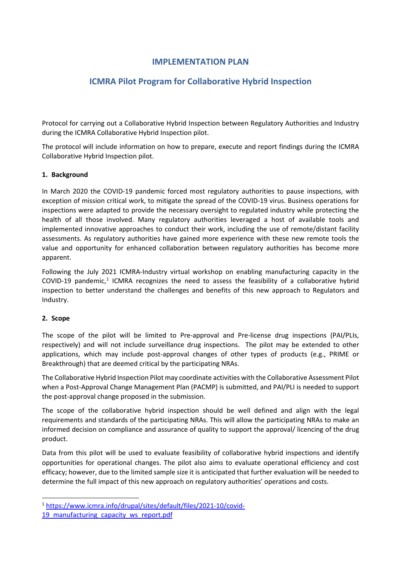## **IMPLEMENTATION PLAN**

# **ICMRA Pilot Program for Collaborative Hybrid Inspection**

Protocol for carrying out a Collaborative Hybrid Inspection between Regulatory Authorities and Industry during the ICMRA Collaborative Hybrid Inspection pilot.

The protocol will include information on how to prepare, execute and report findings during the ICMRA Collaborative Hybrid Inspection pilot.

### **1. Background**

In March 2020 the COVID-19 pandemic forced most regulatory authorities to pause inspections, with exception of mission critical work, to mitigate the spread of the COVID-19 virus. Business operations for inspections were adapted to provide the necessary oversight to regulated industry while protecting the health of all those involved. Many regulatory authorities leveraged a host of available tools and implemented innovative approaches to conduct their work, including the use of remote/distant facility assessments. As regulatory authorities have gained more experience with these new remote tools the value and opportunity for enhanced collaboration between regulatory authorities has become more apparent.

Following the July 2021 ICMRA-Industry virtual workshop on enabling manufacturing capacity in the COVID-[1](#page-0-0)9 pandemic,<sup>1</sup> ICMRA recognizes the need to assess the feasibility of a collaborative hybrid inspection to better understand the challenges and benefits of this new approach to Regulators and Industry.

### **2. Scope**

The scope of the pilot will be limited to Pre-approval and Pre-license drug inspections (PAI/PLIs, respectively) and will not include surveillance drug inspections. The pilot may be extended to other applications, which may include post-approval changes of other types of products (e.g., PRIME or Breakthrough) that are deemed critical by the participating NRAs.

The Collaborative Hybrid Inspection Pilot may coordinate activities with the Collaborative Assessment Pilot when a Post-Approval Change Management Plan (PACMP) is submitted, and PAI/PLI is needed to support the post-approval change proposed in the submission.

The scope of the collaborative hybrid inspection should be well defined and align with the legal requirements and standards of the participating NRAs. This will allow the participating NRAs to make an informed decision on compliance and assurance of quality to support the approval/ licencing of the drug product.

Data from this pilot will be used to evaluate feasibility of collaborative hybrid inspections and identify opportunities for operational changes. The pilot also aims to evaluate operational efficiency and cost efficacy; however, due to the limited sample size it is anticipated that further evaluation will be needed to determine the full impact of this new approach on regulatory authorities' operations and costs.

<span id="page-0-0"></span><sup>1</sup> [https://www.icmra.info/drupal/sites/default/files/2021-10/covid-](https://www.icmra.info/drupal/sites/default/files/2021-10/covid-19_manufacturing_capacity_ws_report.pdf)

[<sup>19</sup>\\_manufacturing\\_capacity\\_ws\\_report.pdf](https://www.icmra.info/drupal/sites/default/files/2021-10/covid-19_manufacturing_capacity_ws_report.pdf)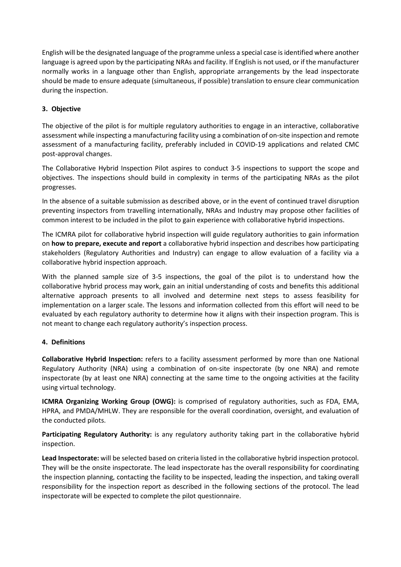English will be the designated language of the programme unless a special case is identified where another language is agreed upon by the participating NRAs and facility. If English is not used, or if the manufacturer normally works in a language other than English, appropriate arrangements by the lead inspectorate should be made to ensure adequate (simultaneous, if possible) translation to ensure clear communication during the inspection.

### **3. Objective**

The objective of the pilot is for multiple regulatory authorities to engage in an interactive, collaborative assessment while inspecting a manufacturing facility using a combination of on-site inspection and remote assessment of a manufacturing facility, preferably included in COVID-19 applications and related CMC post-approval changes.

The Collaborative Hybrid Inspection Pilot aspires to conduct 3-5 inspections to support the scope and objectives. The inspections should build in complexity in terms of the participating NRAs as the pilot progresses.

In the absence of a suitable submission as described above, or in the event of continued travel disruption preventing inspectors from travelling internationally, NRAs and Industry may propose other facilities of common interest to be included in the pilot to gain experience with collaborative hybrid inspections.

The ICMRA pilot for collaborative hybrid inspection will guide regulatory authorities to gain information on **how to prepare, execute and report** a collaborative hybrid inspection and describes how participating stakeholders (Regulatory Authorities and Industry) can engage to allow evaluation of a facility via a collaborative hybrid inspection approach.

With the planned sample size of 3-5 inspections, the goal of the pilot is to understand how the collaborative hybrid process may work, gain an initial understanding of costs and benefits this additional alternative approach presents to all involved and determine next steps to assess feasibility for implementation on a larger scale. The lessons and information collected from this effort will need to be evaluated by each regulatory authority to determine how it aligns with their inspection program. This is not meant to change each regulatory authority's inspection process.

### **4. Definitions**

**Collaborative Hybrid Inspection:** refers to a facility assessment performed by more than one National Regulatory Authority (NRA) using a combination of on-site inspectorate (by one NRA) and remote inspectorate (by at least one NRA) connecting at the same time to the ongoing activities at the facility using virtual technology.

**ICMRA Organizing Working Group (OWG):** is comprised of regulatory authorities, such as FDA, EMA, HPRA, and PMDA/MHLW. They are responsible for the overall coordination, oversight, and evaluation of the conducted pilots.

**Participating Regulatory Authority:** is any regulatory authority taking part in the collaborative hybrid inspection.

**Lead Inspectorate:** will be selected based on criteria listed in the collaborative hybrid inspection protocol. They will be the onsite inspectorate. The lead inspectorate has the overall responsibility for coordinating the inspection planning, contacting the facility to be inspected, leading the inspection, and taking overall responsibility for the inspection report as described in the following sections of the protocol. The lead inspectorate will be expected to complete the pilot questionnaire.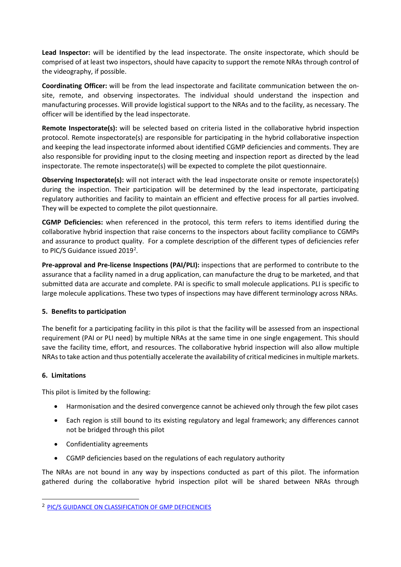**Lead Inspector:** will be identified by the lead inspectorate. The onsite inspectorate, which should be comprised of at least two inspectors, should have capacity to support the remote NRAs through control of the videography, if possible.

**Coordinating Officer:** will be from the lead inspectorate and facilitate communication between the onsite, remote, and observing inspectorates. The individual should understand the inspection and manufacturing processes. Will provide logistical support to the NRAs and to the facility, as necessary. The officer will be identified by the lead inspectorate.

**Remote Inspectorate(s):** will be selected based on criteria listed in the collaborative hybrid inspection protocol. Remote inspectorate(s) are responsible for participating in the hybrid collaborative inspection and keeping the lead inspectorate informed about identified CGMP deficiencies and comments. They are also responsible for providing input to the closing meeting and inspection report as directed by the lead inspectorate. The remote inspectorate(s) will be expected to complete the pilot questionnaire.

**Observing Inspectorate(s):** will not interact with the lead inspectorate onsite or remote inspectorate(s) during the inspection. Their participation will be determined by the lead inspectorate, participating regulatory authorities and facility to maintain an efficient and effective process for all parties involved. They will be expected to complete the pilot questionnaire.

**CGMP Deficiencies:** when referenced in the protocol, this term refers to items identified during the collaborative hybrid inspection that raise concerns to the inspectors about facility compliance to CGMPs and assurance to product quality. For a complete description of the different types of deficiencies refer to PIC/S Guidance issued [2](#page-2-0)019<sup>2</sup>.

**Pre-approval and Pre-license Inspections (PAI/PLI):** inspections that are performed to contribute to the assurance that a facility named in a drug application, can manufacture the drug to be marketed, and that submitted data are accurate and complete. PAI is specific to small molecule applications. PLI is specific to large molecule applications. These two types of inspections may have different terminology across NRAs.

### **5. Benefits to participation**

The benefit for a participating facility in this pilot is that the facility will be assessed from an inspectional requirement (PAI or PLI need) by multiple NRAs at the same time in one single engagement. This should save the facility time, effort, and resources. The collaborative hybrid inspection will also allow multiple NRAs to take action and thus potentially accelerate the availability of critical medicines in multiple markets.

### **6. Limitations**

This pilot is limited by the following:

- Harmonisation and the desired convergence cannot be achieved only through the few pilot cases
- Each region is still bound to its existing regulatory and legal framework; any differences cannot not be bridged through this pilot
- Confidentiality agreements
- CGMP deficiencies based on the regulations of each regulatory authority

The NRAs are not bound in any way by inspections conducted as part of this pilot. The information gathered during the collaborative hybrid inspection pilot will be shared between NRAs through

<span id="page-2-0"></span><sup>2</sup> [PIC/S GUIDANCE ON CLASSIFICATION OF GMP DEFICIENCIES](https://www.gmp-compliance.org/files/guidemgr/PI_040_1_Guidance_on_Classification_of_Deficiencies.pdf)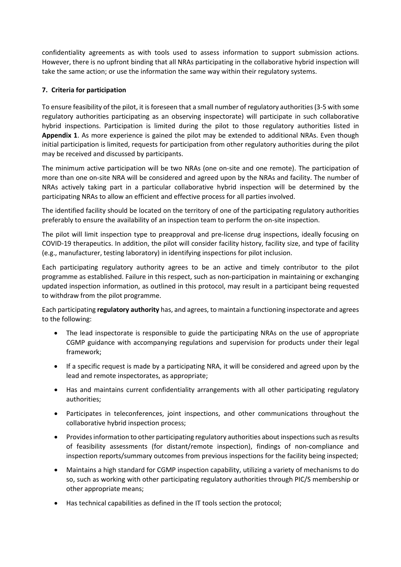confidentiality agreements as with tools used to assess information to support submission actions. However, there is no upfront binding that all NRAs participating in the collaborative hybrid inspection will take the same action; or use the information the same way within their regulatory systems.

### **7. Criteria for participation**

To ensure feasibility of the pilot, it is foreseen that a small number of regulatory authorities (3-5 with some regulatory authorities participating as an observing inspectorate) will participate in such collaborative hybrid inspections. Participation is limited during the pilot to those regulatory authorities listed in **Appendix 1**. As more experience is gained the pilot may be extended to additional NRAs. Even though initial participation is limited, requests for participation from other regulatory authorities during the pilot may be received and discussed by participants.

The minimum active participation will be two NRAs (one on-site and one remote). The participation of more than one on-site NRA will be considered and agreed upon by the NRAs and facility. The number of NRAs actively taking part in a particular collaborative hybrid inspection will be determined by the participating NRAs to allow an efficient and effective process for all parties involved.

The identified facility should be located on the territory of one of the participating regulatory authorities preferably to ensure the availability of an inspection team to perform the on-site inspection.

The pilot will limit inspection type to preapproval and pre-license drug inspections, ideally focusing on COVID-19 therapeutics. In addition, the pilot will consider facility history, facility size, and type of facility (e.g., manufacturer, testing laboratory) in identifying inspections for pilot inclusion.

Each participating regulatory authority agrees to be an active and timely contributor to the pilot programme as established. Failure in this respect, such as non-participation in maintaining or exchanging updated inspection information, as outlined in this protocol, may result in a participant being requested to withdraw from the pilot programme.

Each participating **regulatory authority** has, and agrees, to maintain a functioning inspectorate and agrees to the following:

- The lead inspectorate is responsible to guide the participating NRAs on the use of appropriate CGMP guidance with accompanying regulations and supervision for products under their legal framework;
- If a specific request is made by a participating NRA, it will be considered and agreed upon by the lead and remote inspectorates, as appropriate;
- Has and maintains current confidentiality arrangements with all other participating regulatory authorities;
- Participates in teleconferences, joint inspections, and other communications throughout the collaborative hybrid inspection process;
- Providesinformation to other participating regulatory authorities about inspections such as results of feasibility assessments (for distant/remote inspection), findings of non-compliance and inspection reports/summary outcomes from previous inspections for the facility being inspected;
- Maintains a high standard for CGMP inspection capability, utilizing a variety of mechanisms to do so, such as working with other participating regulatory authorities through PIC/S membership or other appropriate means;
- Has technical capabilities as defined in the IT tools section the protocol;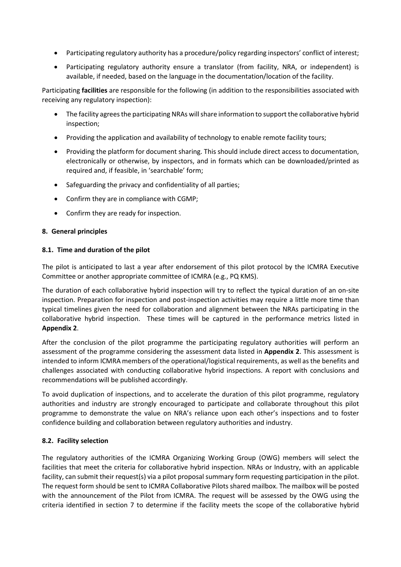- Participating regulatory authority has a procedure/policy regarding inspectors' conflict of interest;
- Participating regulatory authority ensure a translator (from facility, NRA, or independent) is available, if needed, based on the language in the documentation/location of the facility.

Participating **facilities** are responsible for the following (in addition to the responsibilities associated with receiving any regulatory inspection):

- The facility agrees the participating NRAs will share information to support the collaborative hybrid inspection;
- Providing the application and availability of technology to enable remote facility tours;
- Providing the platform for document sharing. This should include direct access to documentation, electronically or otherwise, by inspectors, and in formats which can be downloaded/printed as required and, if feasible, in 'searchable' form;
- Safeguarding the privacy and confidentiality of all parties;
- Confirm they are in compliance with CGMP;
- Confirm they are ready for inspection.

### **8. General principles**

### **8.1. Time and duration of the pilot**

The pilot is anticipated to last a year after endorsement of this pilot protocol by the ICMRA Executive Committee or another appropriate committee of ICMRA (e.g., PQ KMS).

The duration of each collaborative hybrid inspection will try to reflect the typical duration of an on-site inspection. Preparation for inspection and post-inspection activities may require a little more time than typical timelines given the need for collaboration and alignment between the NRAs participating in the collaborative hybrid inspection. These times will be captured in the performance metrics listed in **Appendix 2**.

After the conclusion of the pilot programme the participating regulatory authorities will perform an assessment of the programme considering the assessment data listed in **Appendix 2**. This assessment is intended to inform ICMRA members of the operational/logistical requirements, as well as the benefits and challenges associated with conducting collaborative hybrid inspections. A report with conclusions and recommendations will be published accordingly.

To avoid duplication of inspections, and to accelerate the duration of this pilot programme, regulatory authorities and industry are strongly encouraged to participate and collaborate throughout this pilot programme to demonstrate the value on NRA's reliance upon each other's inspections and to foster confidence building and collaboration between regulatory authorities and industry.

### **8.2. Facility selection**

The regulatory authorities of the ICMRA Organizing Working Group (OWG) members will select the facilities that meet the criteria for collaborative hybrid inspection. NRAs or Industry, with an applicable facility, can submit their request(s) via a pilot proposal summary form requesting participation in the pilot. The request form should be sent to ICMRA Collaborative Pilots shared mailbox. The mailbox will be posted with the announcement of the Pilot from ICMRA. The request will be assessed by the OWG using the criteria identified in section 7 to determine if the facility meets the scope of the collaborative hybrid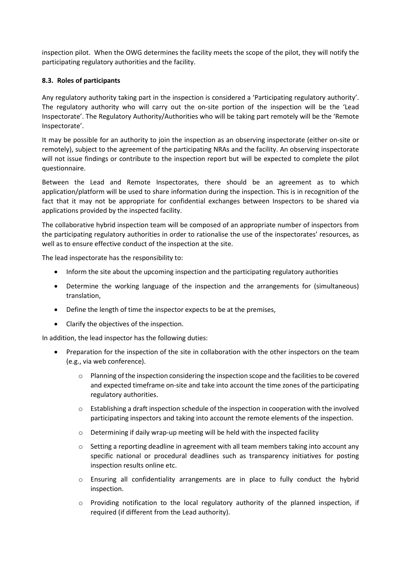inspection pilot. When the OWG determines the facility meets the scope of the pilot, they will notify the participating regulatory authorities and the facility.

### **8.3. Roles of participants**

Any regulatory authority taking part in the inspection is considered a 'Participating regulatory authority'. The regulatory authority who will carry out the on-site portion of the inspection will be the 'Lead Inspectorate'. The Regulatory Authority/Authorities who will be taking part remotely will be the 'Remote Inspectorate'.

It may be possible for an authority to join the inspection as an observing inspectorate (either on-site or remotely), subject to the agreement of the participating NRAs and the facility. An observing inspectorate will not issue findings or contribute to the inspection report but will be expected to complete the pilot questionnaire.

Between the Lead and Remote Inspectorates, there should be an agreement as to which application/platform will be used to share information during the inspection. This is in recognition of the fact that it may not be appropriate for confidential exchanges between Inspectors to be shared via applications provided by the inspected facility.

The collaborative hybrid inspection team will be composed of an appropriate number of inspectors from the participating regulatory authorities in order to rationalise the use of the inspectorates' resources, as well as to ensure effective conduct of the inspection at the site.

The lead inspectorate has the responsibility to:

- Inform the site about the upcoming inspection and the participating regulatory authorities
- Determine the working language of the inspection and the arrangements for (simultaneous) translation,
- Define the length of time the inspector expects to be at the premises,
- Clarify the objectives of the inspection.

In addition, the lead inspector has the following duties:

- Preparation for the inspection of the site in collaboration with the other inspectors on the team (e.g., via web conference).
	- $\circ$  Planning of the inspection considering the inspection scope and the facilities to be covered and expected timeframe on-site and take into account the time zones of the participating regulatory authorities.
	- $\circ$  Establishing a draft inspection schedule of the inspection in cooperation with the involved participating inspectors and taking into account the remote elements of the inspection.
	- o Determining if daily wrap-up meeting will be held with the inspected facility
	- $\circ$  Setting a reporting deadline in agreement with all team members taking into account any specific national or procedural deadlines such as transparency initiatives for posting inspection results online etc.
	- $\circ$  Ensuring all confidentiality arrangements are in place to fully conduct the hybrid inspection.
	- o Providing notification to the local regulatory authority of the planned inspection, if required (if different from the Lead authority).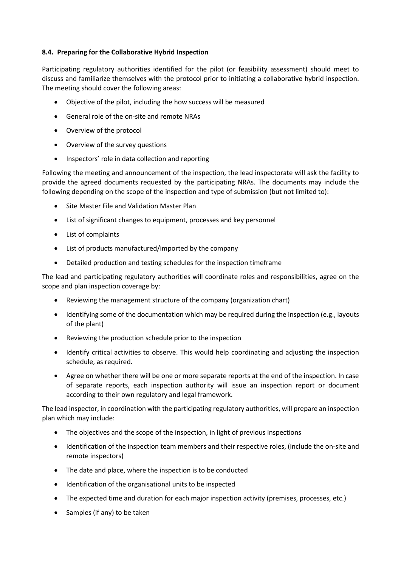### **8.4. Preparing for the Collaborative Hybrid Inspection**

Participating regulatory authorities identified for the pilot (or feasibility assessment) should meet to discuss and familiarize themselves with the protocol prior to initiating a collaborative hybrid inspection. The meeting should cover the following areas:

- Objective of the pilot, including the how success will be measured
- General role of the on-site and remote NRAs
- Overview of the protocol
- Overview of the survey questions
- Inspectors' role in data collection and reporting

Following the meeting and announcement of the inspection, the lead inspectorate will ask the facility to provide the agreed documents requested by the participating NRAs. The documents may include the following depending on the scope of the inspection and type of submission (but not limited to):

- Site Master File and Validation Master Plan
- List of significant changes to equipment, processes and key personnel
- List of complaints
- List of products manufactured/imported by the company
- Detailed production and testing schedules for the inspection timeframe

The lead and participating regulatory authorities will coordinate roles and responsibilities, agree on the scope and plan inspection coverage by:

- Reviewing the management structure of the company (organization chart)
- Identifying some of the documentation which may be required during the inspection (e.g., layouts of the plant)
- Reviewing the production schedule prior to the inspection
- Identify critical activities to observe. This would help coordinating and adjusting the inspection schedule, as required.
- Agree on whether there will be one or more separate reports at the end of the inspection. In case of separate reports, each inspection authority will issue an inspection report or document according to their own regulatory and legal framework.

The lead inspector, in coordination with the participating regulatory authorities, will prepare an inspection plan which may include:

- The objectives and the scope of the inspection, in light of previous inspections
- Identification of the inspection team members and their respective roles, (include the on-site and remote inspectors)
- The date and place, where the inspection is to be conducted
- Identification of the organisational units to be inspected
- The expected time and duration for each major inspection activity (premises, processes, etc.)
- Samples (if any) to be taken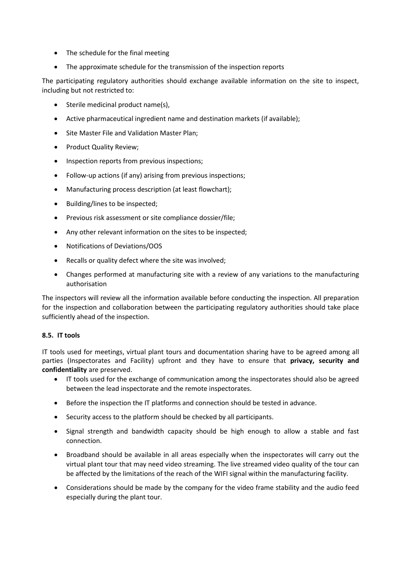- The schedule for the final meeting
- The approximate schedule for the transmission of the inspection reports

The participating regulatory authorities should exchange available information on the site to inspect, including but not restricted to:

- Sterile medicinal product name(s),
- Active pharmaceutical ingredient name and destination markets (if available);
- Site Master File and Validation Master Plan;
- Product Quality Review;
- Inspection reports from previous inspections;
- Follow-up actions (if any) arising from previous inspections;
- Manufacturing process description (at least flowchart);
- Building/lines to be inspected;
- Previous risk assessment or site compliance dossier/file;
- Any other relevant information on the sites to be inspected;
- Notifications of Deviations/OOS
- Recalls or quality defect where the site was involved;
- Changes performed at manufacturing site with a review of any variations to the manufacturing authorisation

The inspectors will review all the information available before conducting the inspection. All preparation for the inspection and collaboration between the participating regulatory authorities should take place sufficiently ahead of the inspection.

#### **8.5. IT tools**

IT tools used for meetings, virtual plant tours and documentation sharing have to be agreed among all parties (Inspectorates and Facility) upfront and they have to ensure that **privacy, security and confidentiality** are preserved.

- IT tools used for the exchange of communication among the inspectorates should also be agreed between the lead inspectorate and the remote inspectorates.
- Before the inspection the IT platforms and connection should be tested in advance.
- Security access to the platform should be checked by all participants.
- Signal strength and bandwidth capacity should be high enough to allow a stable and fast connection.
- Broadband should be available in all areas especially when the inspectorates will carry out the virtual plant tour that may need video streaming. The live streamed video quality of the tour can be affected by the limitations of the reach of the WIFI signal within the manufacturing facility.
- Considerations should be made by the company for the video frame stability and the audio feed especially during the plant tour.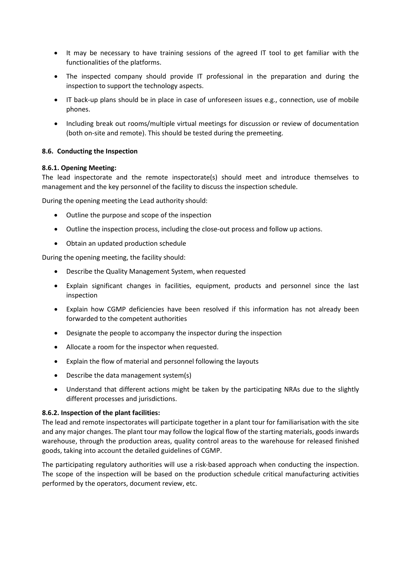- It may be necessary to have training sessions of the agreed IT tool to get familiar with the functionalities of the platforms.
- The inspected company should provide IT professional in the preparation and during the inspection to support the technology aspects.
- IT back-up plans should be in place in case of unforeseen issues e.g., connection, use of mobile phones.
- Including break out rooms/multiple virtual meetings for discussion or review of documentation (both on-site and remote). This should be tested during the premeeting.

#### **8.6. Conducting the Inspection**

#### **8.6.1. Opening Meeting:**

The lead inspectorate and the remote inspectorate(s) should meet and introduce themselves to management and the key personnel of the facility to discuss the inspection schedule.

During the opening meeting the Lead authority should:

- Outline the purpose and scope of the inspection
- Outline the inspection process, including the close-out process and follow up actions.
- Obtain an updated production schedule

During the opening meeting, the facility should:

- Describe the Quality Management System, when requested
- Explain significant changes in facilities, equipment, products and personnel since the last inspection
- Explain how CGMP deficiencies have been resolved if this information has not already been forwarded to the competent authorities
- Designate the people to accompany the inspector during the inspection
- Allocate a room for the inspector when requested.
- Explain the flow of material and personnel following the layouts
- Describe the data management system(s)
- Understand that different actions might be taken by the participating NRAs due to the slightly different processes and jurisdictions.

#### **8.6.2. Inspection of the plant facilities:**

The lead and remote inspectorates will participate together in a plant tour for familiarisation with the site and any major changes. The plant tour may follow the logical flow of the starting materials, goods inwards warehouse, through the production areas, quality control areas to the warehouse for released finished goods, taking into account the detailed guidelines of CGMP.

The participating regulatory authorities will use a risk-based approach when conducting the inspection. The scope of the inspection will be based on the production schedule critical manufacturing activities performed by the operators, document review, etc.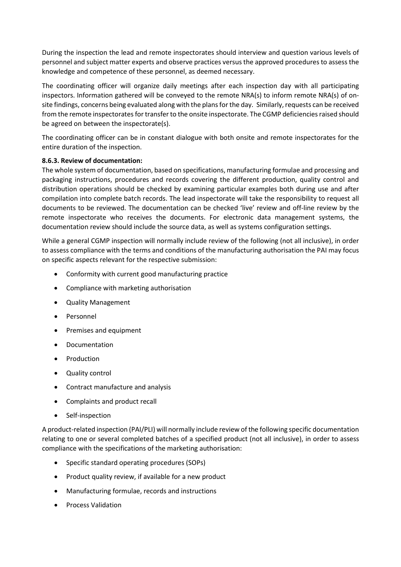During the inspection the lead and remote inspectorates should interview and question various levels of personnel and subject matter experts and observe practices versus the approved procedures to assess the knowledge and competence of these personnel, as deemed necessary.

The coordinating officer will organize daily meetings after each inspection day with all participating inspectors. Information gathered will be conveyed to the remote NRA(s) to inform remote NRA(s) of onsite findings, concerns being evaluated along with the plans for the day. Similarly, requests can be received from the remote inspectorates for transfer to the onsite inspectorate. The CGMP deficiencies raised should be agreed on between the inspectorate(s).

The coordinating officer can be in constant dialogue with both onsite and remote inspectorates for the entire duration of the inspection.

### **8.6.3. Review of documentation:**

The whole system of documentation, based on specifications, manufacturing formulae and processing and packaging instructions, procedures and records covering the different production, quality control and distribution operations should be checked by examining particular examples both during use and after compilation into complete batch records. The lead inspectorate will take the responsibility to request all documents to be reviewed. The documentation can be checked 'live' review and off-line review by the remote inspectorate who receives the documents. For electronic data management systems, the documentation review should include the source data, as well as systems configuration settings.

While a general CGMP inspection will normally include review of the following (not all inclusive), in order to assess compliance with the terms and conditions of the manufacturing authorisation the PAI may focus on specific aspects relevant for the respective submission:

- Conformity with current good manufacturing practice
- Compliance with marketing authorisation
- Quality Management
- Personnel
- Premises and equipment
- **Documentation**
- **Production**
- Quality control
- Contract manufacture and analysis
- Complaints and product recall
- Self-inspection

A product-related inspection (PAI/PLI) will normally include review of the following specific documentation relating to one or several completed batches of a specified product (not all inclusive), in order to assess compliance with the specifications of the marketing authorisation:

- Specific standard operating procedures (SOPs)
- Product quality review, if available for a new product
- Manufacturing formulae, records and instructions
- Process Validation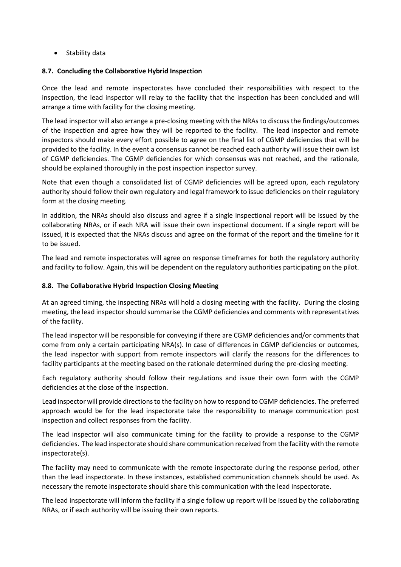• Stability data

### **8.7. Concluding the Collaborative Hybrid Inspection**

Once the lead and remote inspectorates have concluded their responsibilities with respect to the inspection, the lead inspector will relay to the facility that the inspection has been concluded and will arrange a time with facility for the closing meeting.

The lead inspector will also arrange a pre-closing meeting with the NRAs to discuss the findings/outcomes of the inspection and agree how they will be reported to the facility. The lead inspector and remote inspectors should make every effort possible to agree on the final list of CGMP deficiencies that will be provided to the facility. In the event a consensus cannot be reached each authority will issue their own list of CGMP deficiencies. The CGMP deficiencies for which consensus was not reached, and the rationale, should be explained thoroughly in the post inspection inspector survey.

Note that even though a consolidated list of CGMP deficiencies will be agreed upon, each regulatory authority should follow their own regulatory and legal framework to issue deficiencies on their regulatory form at the closing meeting.

In addition, the NRAs should also discuss and agree if a single inspectional report will be issued by the collaborating NRAs, or if each NRA will issue their own inspectional document. If a single report will be issued, it is expected that the NRAs discuss and agree on the format of the report and the timeline for it to be issued.

The lead and remote inspectorates will agree on response timeframes for both the regulatory authority and facility to follow. Again, this will be dependent on the regulatory authorities participating on the pilot.

### **8.8. The Collaborative Hybrid Inspection Closing Meeting**

At an agreed timing, the inspecting NRAs will hold a closing meeting with the facility. During the closing meeting, the lead inspector should summarise the CGMP deficiencies and comments with representatives of the facility.

The lead inspector will be responsible for conveying if there are CGMP deficiencies and/or comments that come from only a certain participating NRA(s). In case of differences in CGMP deficiencies or outcomes, the lead inspector with support from remote inspectors will clarify the reasons for the differences to facility participants at the meeting based on the rationale determined during the pre-closing meeting.

Each regulatory authority should follow their regulations and issue their own form with the CGMP deficiencies at the close of the inspection.

Lead inspector will provide directions to the facility on how to respond to CGMP deficiencies. The preferred approach would be for the lead inspectorate take the responsibility to manage communication post inspection and collect responses from the facility.

The lead inspector will also communicate timing for the facility to provide a response to the CGMP deficiencies. The lead inspectorate should share communication received from the facility with the remote inspectorate(s).

The facility may need to communicate with the remote inspectorate during the response period, other than the lead inspectorate. In these instances, established communication channels should be used. As necessary the remote inspectorate should share this communication with the lead inspectorate.

The lead inspectorate will inform the facility if a single follow up report will be issued by the collaborating NRAs, or if each authority will be issuing their own reports.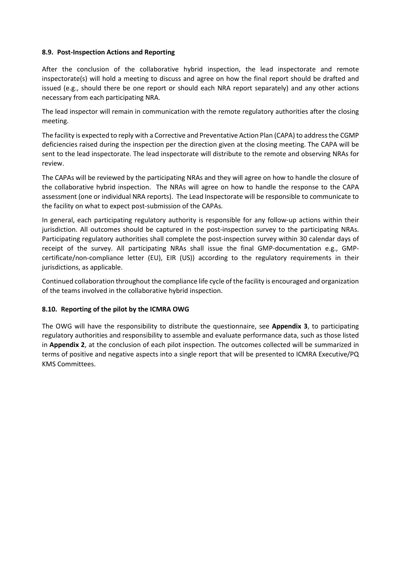#### **8.9. Post-Inspection Actions and Reporting**

After the conclusion of the collaborative hybrid inspection, the lead inspectorate and remote inspectorate(s) will hold a meeting to discuss and agree on how the final report should be drafted and issued (e.g., should there be one report or should each NRA report separately) and any other actions necessary from each participating NRA.

The lead inspector will remain in communication with the remote regulatory authorities after the closing meeting.

The facility is expected to reply with a Corrective and Preventative Action Plan (CAPA) to address the CGMP deficiencies raised during the inspection per the direction given at the closing meeting. The CAPA will be sent to the lead inspectorate. The lead inspectorate will distribute to the remote and observing NRAs for review.

The CAPAs will be reviewed by the participating NRAs and they will agree on how to handle the closure of the collaborative hybrid inspection. The NRAs will agree on how to handle the response to the CAPA assessment (one or individual NRA reports). The Lead Inspectorate will be responsible to communicate to the facility on what to expect post-submission of the CAPAs.

In general, each participating regulatory authority is responsible for any follow-up actions within their jurisdiction. All outcomes should be captured in the post-inspection survey to the participating NRAs. Participating regulatory authorities shall complete the post-inspection survey within 30 calendar days of receipt of the survey. All participating NRAs shall issue the final GMP-documentation e.g., GMPcertificate/non-compliance letter (EU), EIR (US)) according to the regulatory requirements in their jurisdictions, as applicable.

Continued collaboration throughout the compliance life cycle of the facility is encouraged and organization of the teams involved in the collaborative hybrid inspection.

### **8.10. Reporting of the pilot by the ICMRA OWG**

The OWG will have the responsibility to distribute the questionnaire, see **Appendix 3**, to participating regulatory authorities and responsibility to assemble and evaluate performance data, such as those listed in **Appendix 2**, at the conclusion of each pilot inspection. The outcomes collected will be summarized in terms of positive and negative aspects into a single report that will be presented to ICMRA Executive/PQ KMS Committees.